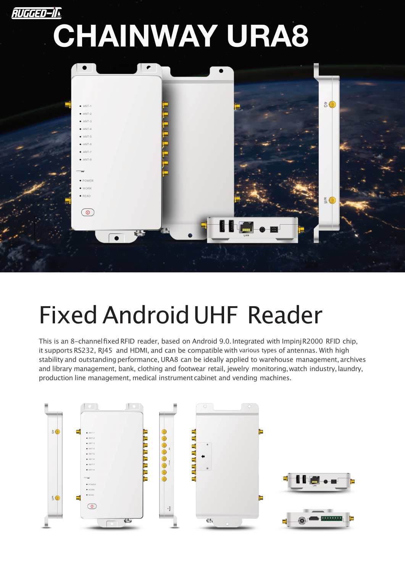

## FixedAndroidUHF Reader

This is an 8-channel fixed RFID reader, based on Android 9.0. Integrated with Impinj R2000 RFID chip, it supports RS232, RJ45 and HDMI, and can be compatible with various types of antennas. With high stability and outstanding performance, URA8 can be ideally applied to warehouse management, archives and library management, bank, clothing and footwear retail, jewelry monitoring, watch industry, laundry, production line management, medical instrument cabinet and vending machines.